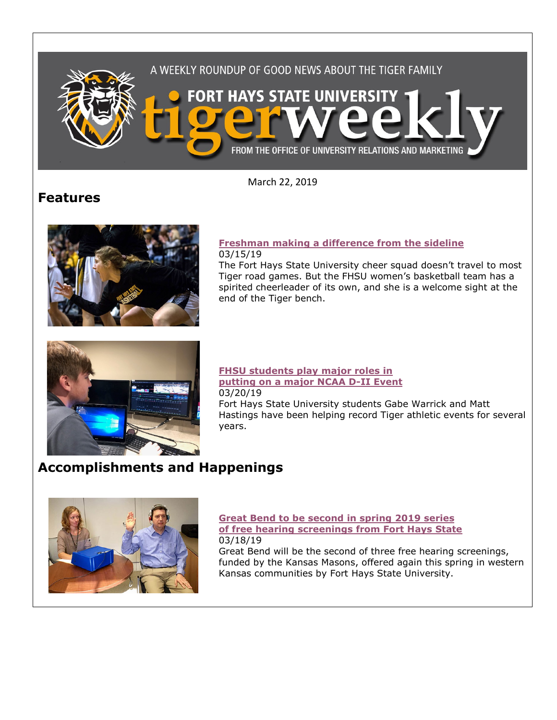

March 22, 2019

## **Features**



#### **[Freshman making a difference from the sideline](https://www.fhsu.edu/news/2019/03/freshman-making-a-difference-from-the-sideline)** 03/15/19

The Fort Hays State University cheer squad doesn't travel to most Tiger road games. But the FHSU women's basketball team has a spirited cheerleader of its own, and she is a welcome sight at the end of the Tiger bench.



#### **[FHSU students play major roles in](https://www.fhsu.edu/news/2019/03/fhsu-students-play-major-roles-in-putting-on-a-major-ncaa-d-ii-event)  [putting on a major NCAA D-II Event](https://www.fhsu.edu/news/2019/03/fhsu-students-play-major-roles-in-putting-on-a-major-ncaa-d-ii-event)** 03/20/19 Fort Hays State University students Gabe Warrick and Matt Hastings have been helping record Tiger athletic events for several

# **Accomplishments and Happenings**

years.



#### **[Great Bend to be second in spring 2019 series](https://www.fhsu.edu/news/2019/03/great-bend-to-be-second-in-spring-2019-series-of-free-hearing-screenings-from-fort-hays-state)  [of free hearing screenings from Fort Hays State](https://www.fhsu.edu/news/2019/03/great-bend-to-be-second-in-spring-2019-series-of-free-hearing-screenings-from-fort-hays-state)** 03/18/19

Great Bend will be the second of three free hearing screenings, funded by the Kansas Masons, offered again this spring in western Kansas communities by Fort Hays State University.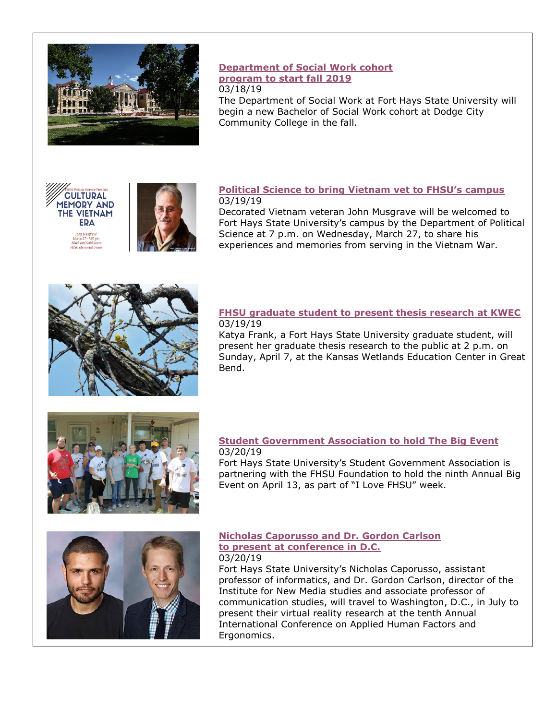

## **[Department of Social Work cohort](https://www.fhsu.edu/news/2019/03/fhsus-department-of-social-work-cohort-program-to-start-fall-2019)  [program to start fall 2019](https://www.fhsu.edu/news/2019/03/fhsus-department-of-social-work-cohort-program-to-start-fall-2019)**

#### 03/18/19

The Department of Social Work at Fort Hays State University will begin a new Bachelor of Social Work cohort at Dodge City Community College in the fall.





#### **[Political Science to bring Vietnam vet to FHSU's campus](https://www.fhsu.edu/news/2019/03/political-science-to-bring-vietnam-vet-to-fhsus-campus)** 03/19/19

Decorated Vietnam veteran John Musgrave will be welcomed to Fort Hays State University's campus by the Department of Political Science at 7 p.m. on Wednesday, March 27, to share his experiences and memories from serving in the Vietnam War.



#### **[FHSU graduate student to present thesis research at KWEC](https://www.fhsu.edu/news/2019/03/fhsu-graduate-student-to-present-thesis-research-at-kwec)** 03/19/19

Katya Frank, a Fort Hays State University graduate student, will present her graduate thesis research to the public at 2 p.m. on Sunday, April 7, at the Kansas Wetlands Education Center in Great Bend.



#### **[Student Government Association to hold The Big Event](https://www.fhsu.edu/news/2019/03/fhsus-student-government-association-to-hold-the-big-event)** 03/20/19

Fort Hays State University's Student Government Association is partnering with the FHSU Foundation to hold the ninth Annual Big Event on April 13, as part of "I Love FHSU" week.



## **[Nicholas Caporusso and Dr. Gordon Carlson](https://www.fhsu.edu/news/2019/03/fhsus-nicholas-caporusso-and-dr.-gordon-carlson-to-present-at-conference-in-d.c.)  [to present at conference in D.C.](https://www.fhsu.edu/news/2019/03/fhsus-nicholas-caporusso-and-dr.-gordon-carlson-to-present-at-conference-in-d.c.)**

03/20/19 Fort Hays State University's Nicholas Caporusso, assistant professor of informatics, and Dr. Gordon Carlson, director of the Institute for New Media studies and associate professor of communication studies, will travel to Washington, D.C., in July to present their virtual reality research at the tenth Annual International Conference on Applied Human Factors and Ergonomics.